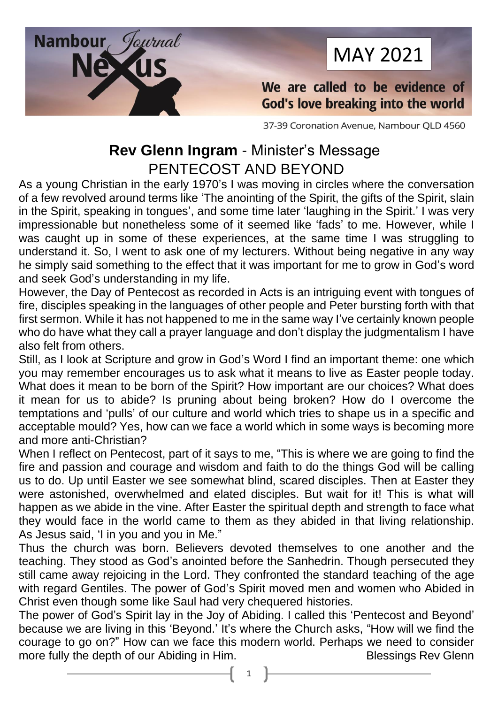

# MAY 2021

We are called to be evidence of God's love breaking into the world

37-39 Coronation Avenue, Nambour QLD 4560

## **Rev Glenn Ingram** - Minister's Message PENTECOST AND BEYOND

As a young Christian in the early 1970's I was moving in circles where the conversation of a few revolved around terms like 'The anointing of the Spirit, the gifts of the Spirit, slain in the Spirit, speaking in tongues', and some time later 'laughing in the Spirit.' I was very impressionable but nonetheless some of it seemed like 'fads' to me. However, while I was caught up in some of these experiences, at the same time I was struggling to understand it. So, I went to ask one of my lecturers. Without being negative in any way he simply said something to the effect that it was important for me to grow in God's word and seek God's understanding in my life.

However, the Day of Pentecost as recorded in Acts is an intriguing event with tongues of fire, disciples speaking in the languages of other people and Peter bursting forth with that first sermon. While it has not happened to me in the same way I've certainly known people who do have what they call a prayer language and don't display the judgmentalism I have also felt from others.

Still, as I look at Scripture and grow in God's Word I find an important theme: one which you may remember encourages us to ask what it means to live as Easter people today. What does it mean to be born of the Spirit? How important are our choices? What does it mean for us to abide? Is pruning about being broken? How do I overcome the temptations and 'pulls' of our culture and world which tries to shape us in a specific and acceptable mould? Yes, how can we face a world which in some ways is becoming more and more anti-Christian?

When I reflect on Pentecost, part of it says to me, "This is where we are going to find the fire and passion and courage and wisdom and faith to do the things God will be calling us to do. Up until Easter we see somewhat blind, scared disciples. Then at Easter they were astonished, overwhelmed and elated disciples. But wait for it! This is what will happen as we abide in the vine. After Easter the spiritual depth and strength to face what they would face in the world came to them as they abided in that living relationship. As Jesus said, 'I in you and you in Me."

Thus the church was born. Believers devoted themselves to one another and the teaching. They stood as God's anointed before the Sanhedrin. Though persecuted they still came away rejoicing in the Lord. They confronted the standard teaching of the age with regard Gentiles. The power of God's Spirit moved men and women who Abided in Christ even though some like Saul had very chequered histories.

The power of God's Spirit lay in the Joy of Abiding. I called this 'Pentecost and Beyond' because we are living in this 'Beyond.' It's where the Church asks, "How will we find the courage to go on?" How can we face this modern world. Perhaps we need to consider<br>more fully the depth of our Abiding in Him.<br>Blessings Rev Glenn more fully the depth of our Abiding in Him.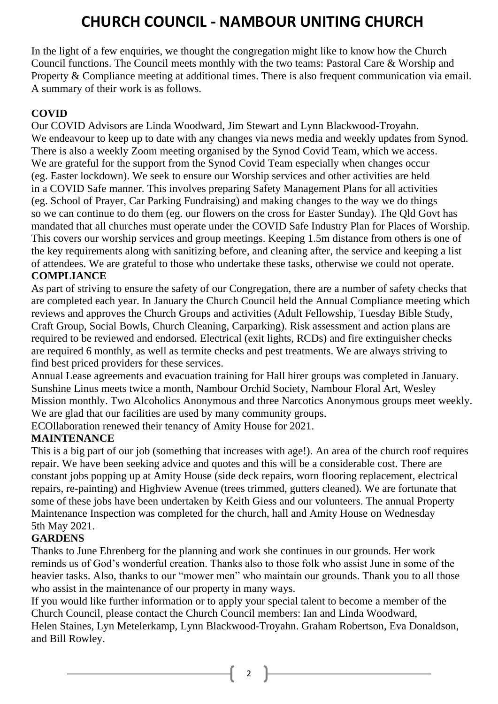## **CHURCH COUNCIL - NAMBOUR UNITING CHURCH**

In the light of a few enquiries, we thought the congregation might like to know how the Church Council functions. The Council meets monthly with the two teams: Pastoral Care & Worship and Property & Compliance meeting at additional times. There is also frequent communication via email. A summary of their work is as follows.

#### **COVID**

Our COVID Advisors are Linda Woodward, Jim Stewart and Lynn Blackwood-Troyahn. We endeavour to keep up to date with any changes via news media and weekly updates from Synod. There is also a weekly Zoom meeting organised by the Synod Covid Team, which we access. We are grateful for the support from the Synod Covid Team especially when changes occur (eg. Easter lockdown). We seek to ensure our Worship services and other activities are held in a COVID Safe manner. This involves preparing Safety Management Plans for all activities (eg. School of Prayer, Car Parking Fundraising) and making changes to the way we do things so we can continue to do them (eg. our flowers on the cross for Easter Sunday). The Qld Govt has mandated that all churches must operate under the COVID Safe Industry Plan for Places of Worship. This covers our worship services and group meetings. Keeping 1.5m distance from others is one of the key requirements along with sanitizing before, and cleaning after, the service and keeping a list of attendees. We are grateful to those who undertake these tasks, otherwise we could not operate. **COMPLIANCE**

As part of striving to ensure the safety of our Congregation, there are a number of safety checks that are completed each year. In January the Church Council held the Annual Compliance meeting which reviews and approves the Church Groups and activities (Adult Fellowship, Tuesday Bible Study, Craft Group, Social Bowls, Church Cleaning, Carparking). Risk assessment and action plans are required to be reviewed and endorsed. Electrical (exit lights, RCDs) and fire extinguisher checks are required 6 monthly, as well as termite checks and pest treatments. We are always striving to find best priced providers for these services.

Annual Lease agreements and evacuation training for Hall hirer groups was completed in January. Sunshine Linus meets twice a month, Nambour Orchid Society, Nambour Floral Art, Wesley Mission monthly. Two Alcoholics Anonymous and three Narcotics Anonymous groups meet weekly. We are glad that our facilities are used by many community groups.

ECOllaboration renewed their tenancy of Amity House for 2021.

#### **MAINTENANCE**

This is a big part of our job (something that increases with age!). An area of the church roof requires repair. We have been seeking advice and quotes and this will be a considerable cost. There are constant jobs popping up at Amity House (side deck repairs, worn flooring replacement, electrical repairs, re-painting) and Highview Avenue (trees trimmed, gutters cleaned). We are fortunate that some of these jobs have been undertaken by Keith Giess and our volunteers. The annual Property Maintenance Inspection was completed for the church, hall and Amity House on Wednesday 5th May 2021.

#### **GARDENS**

Thanks to June Ehrenberg for the planning and work she continues in our grounds. Her work reminds us of God's wonderful creation. Thanks also to those folk who assist June in some of the heavier tasks. Also, thanks to our "mower men" who maintain our grounds. Thank you to all those who assist in the maintenance of our property in many ways.

If you would like further information or to apply your special talent to become a member of the Church Council, please contact the Church Council members: Ian and Linda Woodward, Helen Staines, Lyn Metelerkamp, Lynn Blackwood-Troyahn. Graham Robertson, Eva Donaldson, and Bill Rowley.

2  $\|$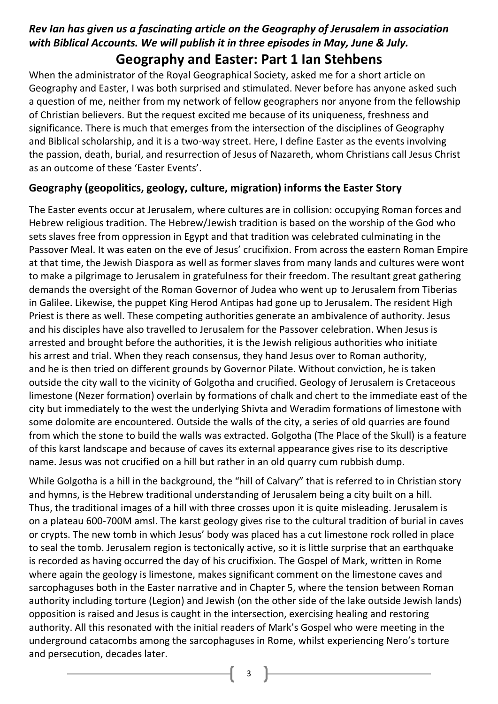## *Rev Ian has given us a fascinating article on the Geography of Jerusalem in association with Biblical Accounts. We will publish it in three episodes in May, June & July.*

### **Geography and Easter: Part 1 Ian Stehbens**

When the administrator of the Royal Geographical Society, asked me for a short article on Geography and Easter, I was both surprised and stimulated. Never before has anyone asked such a question of me, neither from my network of fellow geographers nor anyone from the fellowship of Christian believers. But the request excited me because of its uniqueness, freshness and significance. There is much that emerges from the intersection of the disciplines of Geography and Biblical scholarship, and it is a two-way street. Here, I define Easter as the events involving the passion, death, burial, and resurrection of Jesus of Nazareth, whom Christians call Jesus Christ as an outcome of these 'Easter Events'.

#### **Geography (geopolitics, geology, culture, migration) informs the Easter Story**

The Easter events occur at Jerusalem, where cultures are in collision: occupying Roman forces and Hebrew religious tradition. The Hebrew/Jewish tradition is based on the worship of the God who sets slaves free from oppression in Egypt and that tradition was celebrated culminating in the Passover Meal. It was eaten on the eve of Jesus' crucifixion. From across the eastern Roman Empire at that time, the Jewish Diaspora as well as former slaves from many lands and cultures were wont to make a pilgrimage to Jerusalem in gratefulness for their freedom. The resultant great gathering demands the oversight of the Roman Governor of Judea who went up to Jerusalem from Tiberias in Galilee. Likewise, the puppet King Herod Antipas had gone up to Jerusalem. The resident High Priest is there as well. These competing authorities generate an ambivalence of authority. Jesus and his disciples have also travelled to Jerusalem for the Passover celebration. When Jesus is arrested and brought before the authorities, it is the Jewish religious authorities who initiate his arrest and trial. When they reach consensus, they hand Jesus over to Roman authority, and he is then tried on different grounds by Governor Pilate. Without conviction, he is taken outside the city wall to the vicinity of Golgotha and crucified. Geology of Jerusalem is Cretaceous limestone (Nezer formation) overlain by formations of chalk and chert to the immediate east of the city but immediately to the west the underlying Shivta and Weradim formations of limestone with some dolomite are encountered. Outside the walls of the city, a series of old quarries are found from which the stone to build the walls was extracted. Golgotha (The Place of the Skull) is a feature of this karst landscape and because of caves its external appearance gives rise to its descriptive name. Jesus was not crucified on a hill but rather in an old quarry cum rubbish dump.

While Golgotha is a hill in the background, the "hill of Calvary" that is referred to in Christian story and hymns, is the Hebrew traditional understanding of Jerusalem being a city built on a hill. Thus, the traditional images of a hill with three crosses upon it is quite misleading. Jerusalem is on a plateau 600-700M amsl. The karst geology gives rise to the cultural tradition of burial in caves or crypts. The new tomb in which Jesus' body was placed has a cut limestone rock rolled in place to seal the tomb. Jerusalem region is tectonically active, so it is little surprise that an earthquake is recorded as having occurred the day of his crucifixion. The Gospel of Mark, written in Rome where again the geology is limestone, makes significant comment on the limestone caves and sarcophaguses both in the Easter narrative and in Chapter 5, where the tension between Roman authority including torture (Legion) and Jewish (on the other side of the lake outside Jewish lands) opposition is raised and Jesus is caught in the intersection, exercising healing and restoring authority. All this resonated with the initial readers of Mark's Gospel who were meeting in the underground catacombs among the sarcophaguses in Rome, whilst experiencing Nero's torture and persecution, decades later.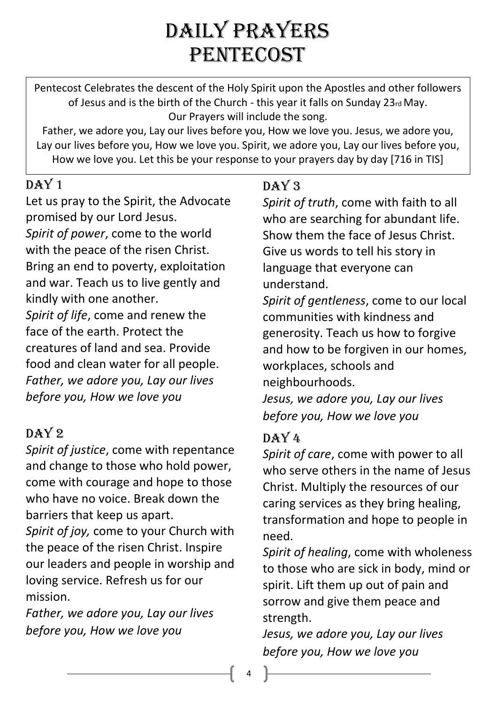# DAILY PRAYERS PENTECOST

Pentecost Celebrates the descent of the Holy Spirit upon the Apostles and other followers of Jesus and is the birth of the Church - this year it falls on Sunday 23rd May. Our Prayers will include the song.

Father, we adore you, Lay our lives before you, How we love you. Jesus, we adore you, Lay our lives before you, How we love you. Spirit, we adore you, Lay our lives before you, How we love you. Let this be your response to your prayers day by day [716 in TIS]

## $DAY1$

Let us pray to the Spirit, the Advocate promised by our Lord Jesus. *Spirit of power*, come to the world with the peace of the risen Christ. Bring an end to poverty, exploitation and war. Teach us to live gently and kindly with one another. *Spirit of life*, come and renew the face of the earth. Protect the creatures of land and sea. Provide food and clean water for all people. *Father, we adore you, Lay our lives before you, How we love you* 

## $DAY2$

*Spirit of justice*, come with repentance and change to those who hold power, come with courage and hope to those who have no voice. Break down the barriers that keep us apart.

*Spirit of joy,* come to your Church with the peace of the risen Christ. Inspire our leaders and people in worship and loving service. Refresh us for our mission.

*Father, we adore you, Lay our lives before you, How we love you*

## DAY<sub>3</sub>

*Spirit of truth*, come with faith to all who are searching for abundant life. Show them the face of Jesus Christ. Give us words to tell his story in language that everyone can understand.

*Spirit of gentleness*, come to our local communities with kindness and generosity. Teach us how to forgive and how to be forgiven in our homes, workplaces, schools and neighbourhoods.

*Jesus, we adore you, Lay our lives before you, How we love you*

## $DAY4$

*Spirit of care*, come with power to all who serve others in the name of Jesus Christ. Multiply the resources of our caring services as they bring healing, transformation and hope to people in need.

*Spirit of healing*, come with wholeness to those who are sick in body, mind or spirit. Lift them up out of pain and sorrow and give them peace and strength.

*Jesus, we adore you, Lay our lives before you, How we love you*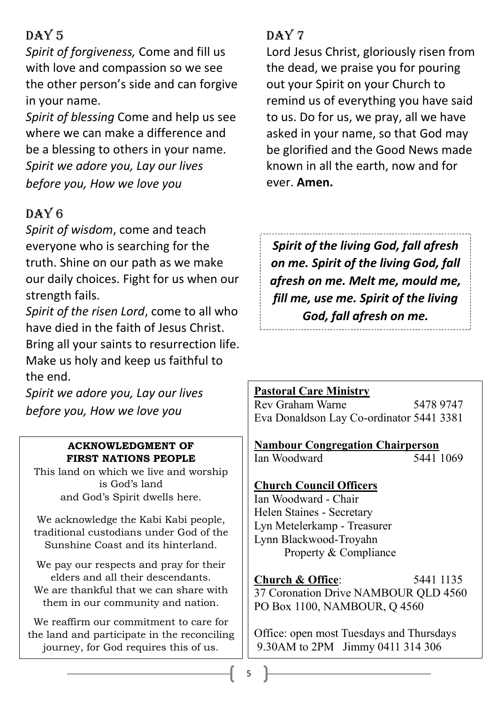## $DAY5$

*Spirit of forgiveness,* Come and fill us with love and compassion so we see the other person's side and can forgive in your name.

*Spirit of blessing* Come and help us see where we can make a difference and be a blessing to others in your name. *Spirit we adore you, Lay our lives before you, How we love you*

## $DAY6$

*Spirit of wisdom*, come and teach everyone who is searching for the truth. Shine on our path as we make our daily choices. Fight for us when our strength fails.

*Spirit of the risen Lord*, come to all who have died in the faith of Jesus Christ. Bring all your saints to resurrection life. Make us holy and keep us faithful to the end.

*Spirit we adore you, Lay our lives before you, How we love you*

#### **ACKNOWLEDGMENT OF FIRST NATIONS PEOPLE**

This land on which we live and worship is God's land and God's Spirit dwells here.

We acknowledge the Kabi Kabi people, traditional custodians under God of the Sunshine Coast and its hinterland.

We pay our respects and pray for their elders and all their descendants. We are thankful that we can share with them in our community and nation.

We reaffirm our commitment to care for the land and participate in the reconciling journey, for God requires this of us.

## $DAY7$

Lord Jesus Christ, gloriously risen from the dead, we praise you for pouring out your Spirit on your Church to remind us of everything you have said to us. Do for us, we pray, all we have asked in your name, so that God may be glorified and the Good News made known in all the earth, now and for ever. **Amen.** 

*Spirit of the living God, fall afresh on me. Spirit of the living God, fall afresh on me. Melt me, mould me, fill me, use me. Spirit of the living God, fall afresh on me.*

## **Pastoral Care Ministry**

Rev Graham Warne 5478 9747 Eva Donaldson Lay Co-ordinator 5441 3381

**Nambour Congregation Chairperson** Ian Woodward 5441 1069

#### **Church Council Officers**

Ian Woodward - Chair Helen Staines - Secretary Lyn Metelerkamp - Treasurer Lynn Blackwood-Troyahn Property & Compliance

**Church & Office:** 5441 1135 37 Coronation Drive NAMBOUR QLD 4560 PO Box 1100, NAMBOUR, Q 4560

Office: open most Tuesdays and Thursdays 9.30AM to 2PM Jimmy 0411 314 306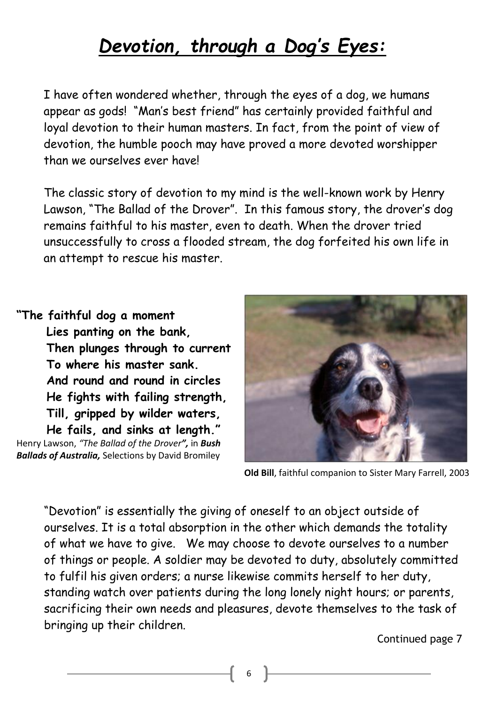## *Devotion, through a Dog's Eyes:*

I have often wondered whether, through the eyes of a dog, we humans appear as gods! "Man's best friend" has certainly provided faithful and loyal devotion to their human masters. In fact, from the point of view of devotion, the humble pooch may have proved a more devoted worshipper than we ourselves ever have!

The classic story of devotion to my mind is the well-known work by Henry Lawson, "The Ballad of the Drover". In this famous story, the drover's dog remains faithful to his master, even to death. When the drover tried unsuccessfully to cross a flooded stream, the dog forfeited his own life in an attempt to rescue his master.

#### **"The faithful dog a moment**

**Lies panting on the bank, Then plunges through to current To where his master sank. And round and round in circles He fights with failing strength, Till, gripped by wilder waters, He fails, and sinks at length."** Henry Lawson, *"The Ballad of the Drover",* in *Bush Ballads of Australia,* Selections by David Bromiley



**Old Bill**, faithful companion to Sister Mary Farrell, 2003

"Devotion" is essentially the giving of oneself to an object outside of ourselves. It is a total absorption in the other which demands the totality of what we have to give. We may choose to devote ourselves to a number of things or people. A soldier may be devoted to duty, absolutely committed to fulfil his given orders; a nurse likewise commits herself to her duty, standing watch over patients during the long lonely night hours; or parents, sacrificing their own needs and pleasures, devote themselves to the task of bringing up their children.

Continued page 7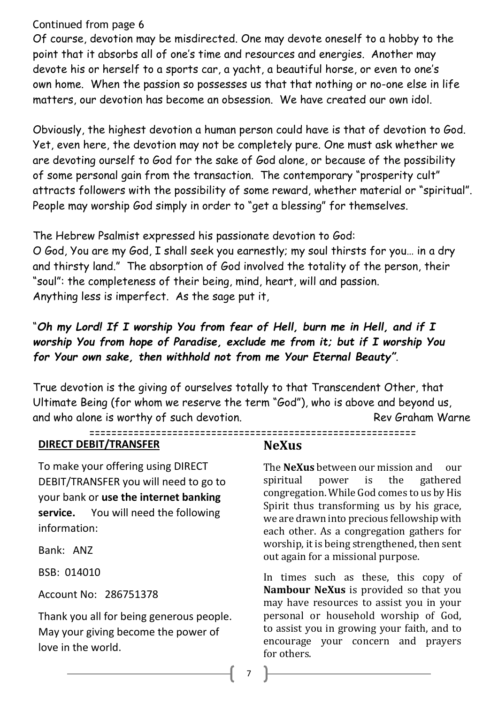#### Continued from page 6

Of course, devotion may be misdirected. One may devote oneself to a hobby to the point that it absorbs all of one's time and resources and energies. Another may devote his or herself to a sports car, a yacht, a beautiful horse, or even to one's own home. When the passion so possesses us that that nothing or no-one else in life matters, our devotion has become an obsession. We have created our own idol.

Obviously, the highest devotion a human person could have is that of devotion to God. Yet, even here, the devotion may not be completely pure. One must ask whether we are devoting ourself to God for the sake of God alone, or because of the possibility of some personal gain from the transaction. The contemporary "prosperity cult" attracts followers with the possibility of some reward, whether material or "spiritual". People may worship God simply in order to "get a blessing" for themselves.

The Hebrew Psalmist expressed his passionate devotion to God: O God, You are my God, I shall seek you earnestly; my soul thirsts for you… in a dry and thirsty land." The absorption of God involved the totality of the person, their "soul": the completeness of their being, mind, heart, will and passion. Anything less is imperfect. As the sage put it,

#### "*Oh my Lord! If I worship You from fear of Hell, burn me in Hell, and if I worship You from hope of Paradise, exclude me from it; but if I worship You for Your own sake, then withhold not from me Your Eternal Beauty"*.

True devotion is the giving of ourselves totally to that Transcendent Other, that Ultimate Being (for whom we reserve the term "God"), who is above and beyond us, and who alone is worthy of such devotion. The manufacture of the Rev Graham Warne

===========================================================

#### **DIRECT DEBIT/TRANSFER**

To make your offering using DIRECT DEBIT/TRANSFER you will need to go to your bank or **use the internet banking service.** You will need the following information:

Bank: ANZ

BSB: 014010

Account No: 286751378

Thank you all for being generous people. May your giving become the power of love in the world.

#### **NeXus**

The **NeXus** between our mission and our spiritual power is the gathered congregation. While God comes to us by His Spirit thus transforming us by his grace, we are drawn into precious fellowship with each other. As a congregation gathers for worship, it is being strengthened, then sent out again for a missional purpose.

In times such as these, this copy of **Nambour NeXus** is provided so that you may have resources to assist you in your personal or household worship of God, to assist you in growing your faith, and to encourage your concern and prayers for others.